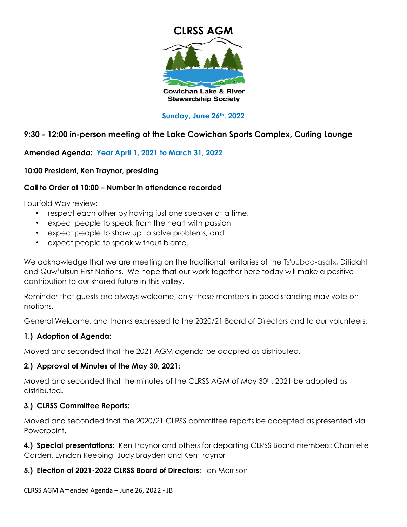

### **Sunday, June 26th, 2022**

# **9:30 - 12:00 in-person meeting at the Lake Cowichan Sports Complex, Curling Lounge**

# **Amended Agenda: Year April 1, 2021 to March 31, 2022**

### **10:00 President, Ken Traynor, presiding**

### **Call to Order at 10:00 – Number in attendance recorded**

Fourfold Way review:

- respect each other by having just one speaker at a time,
- expect people to speak from the heart with passion,
- expect people to show up to solve problems, and
- expect people to speak without blame.

We acknowledge that we are meeting on the traditional territories of the Ts'uubaa-asatx, Ditidaht and Quw'utsun First Nations. We hope that our work together here today will make a positive contribution to our shared future in this valley.

Reminder that guests are always welcome, only those members in good standing may vote on motions.

General Welcome, and thanks expressed to the 2020/21 Board of Directors and to our volunteers.

# **1.) Adoption of Agenda:**

Moved and seconded that the 2021 AGM agenda be adopted as distributed.

# **2.) Approval of Minutes of the May 30, 2021:**

Moved and seconded that the minutes of the CLRSS AGM of May 30th, 2021 be adopted as distributed**.**

# **3.) CLRSS Committee Reports:**

Moved and seconded that the 2020/21 CLRSS committee reports be accepted as presented via Powerpoint.

**4.) Special presentations:** Ken Traynor and others for departing CLRSS Board members: Chantelle Carden, Lyndon Keeping, Judy Brayden and Ken Traynor

# **5.) Election of 2021-2022 CLRSS Board of Directors**: Ian Morrison

CLRSS AGM Amended Agenda – June 26, 2022 - JB